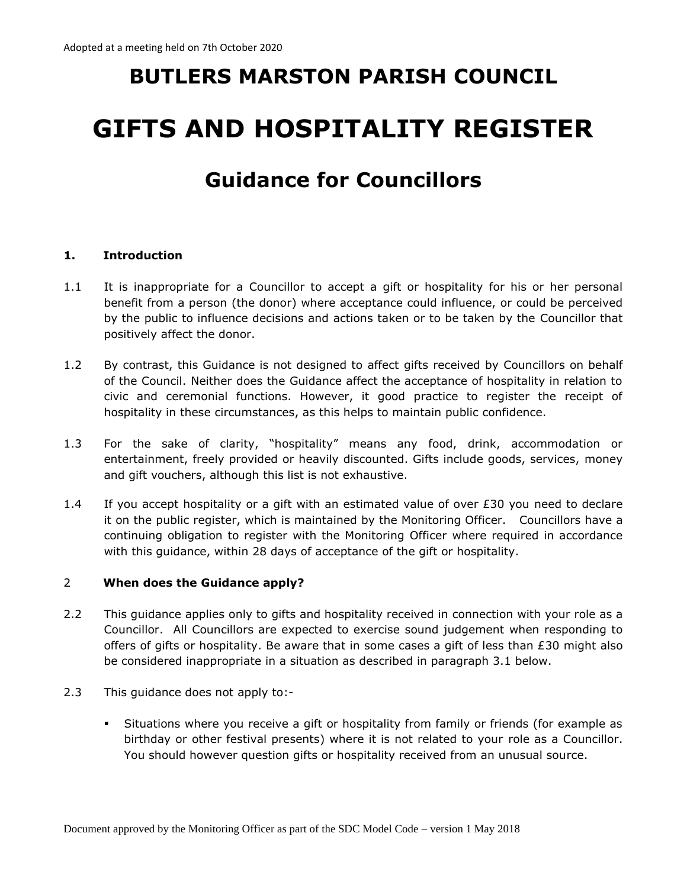# **BUTLERS MARSTON PARISH COUNCIL GIFTS AND HOSPITALITY REGISTER**

# **Guidance for Councillors**

#### **1. Introduction**

- 1.1 It is inappropriate for a Councillor to accept a gift or hospitality for his or her personal benefit from a person (the donor) where acceptance could influence, or could be perceived by the public to influence decisions and actions taken or to be taken by the Councillor that positively affect the donor.
- 1.2 By contrast, this Guidance is not designed to affect gifts received by Councillors on behalf of the Council. Neither does the Guidance affect the acceptance of hospitality in relation to civic and ceremonial functions. However, it good practice to register the receipt of hospitality in these circumstances, as this helps to maintain public confidence.
- 1.3 For the sake of clarity, "hospitality" means any food, drink, accommodation or entertainment, freely provided or heavily discounted. Gifts include goods, services, money and gift vouchers, although this list is not exhaustive.
- 1.4 If you accept hospitality or a gift with an estimated value of over  $E30$  you need to declare it on the public register, which is maintained by the Monitoring Officer. Councillors have a continuing obligation to register with the Monitoring Officer where required in accordance with this guidance, within 28 days of acceptance of the gift or hospitality.

#### 2 **When does the Guidance apply?**

- 2.2 This guidance applies only to gifts and hospitality received in connection with your role as a Councillor. All Councillors are expected to exercise sound judgement when responding to offers of gifts or hospitality. Be aware that in some cases a gift of less than £30 might also be considered inappropriate in a situation as described in paragraph 3.1 below.
- 2.3 This guidance does not apply to:-
	- Situations where you receive a gift or hospitality from family or friends (for example as birthday or other festival presents) where it is not related to your role as a Councillor. You should however question gifts or hospitality received from an unusual source.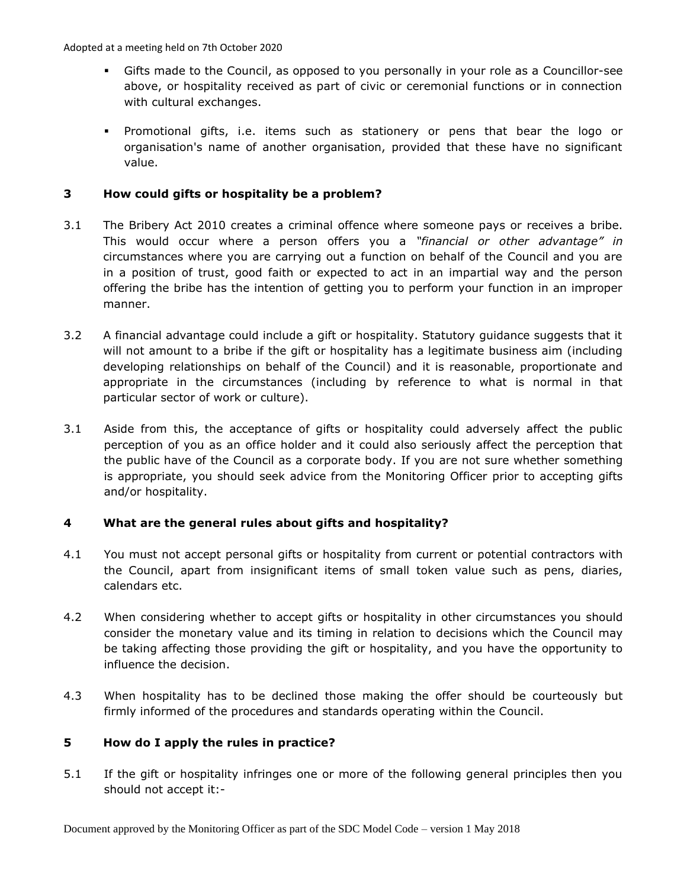Adopted at a meeting held on 7th October 2020

- Gifts made to the Council, as opposed to you personally in your role as a Councillor-see above, or hospitality received as part of civic or ceremonial functions or in connection with cultural exchanges.
- Promotional gifts, i.e. items such as stationery or pens that bear the logo or organisation's name of another organisation, provided that these have no significant value.

# **3 How could gifts or hospitality be a problem?**

- 3.1 The Bribery Act 2010 creates a criminal offence where someone pays or receives a bribe. This would occur where a person offers you a *"financial or other advantage" in* circumstances where you are carrying out a function on behalf of the Council and you are in a position of trust, good faith or expected to act in an impartial way and the person offering the bribe has the intention of getting you to perform your function in an improper manner.
- 3.2 A financial advantage could include a gift or hospitality. Statutory guidance suggests that it will not amount to a bribe if the gift or hospitality has a legitimate business aim (including developing relationships on behalf of the Council) and it is reasonable, proportionate and appropriate in the circumstances (including by reference to what is normal in that particular sector of work or culture).
- 3.1 Aside from this, the acceptance of gifts or hospitality could adversely affect the public perception of you as an office holder and it could also seriously affect the perception that the public have of the Council as a corporate body. If you are not sure whether something is appropriate, you should seek advice from the Monitoring Officer prior to accepting gifts and/or hospitality.

# **4 What are the general rules about gifts and hospitality?**

- 4.1 You must not accept personal gifts or hospitality from current or potential contractors with the Council, apart from insignificant items of small token value such as pens, diaries, calendars etc.
- 4.2 When considering whether to accept gifts or hospitality in other circumstances you should consider the monetary value and its timing in relation to decisions which the Council may be taking affecting those providing the gift or hospitality, and you have the opportunity to influence the decision.
- 4.3 When hospitality has to be declined those making the offer should be courteously but firmly informed of the procedures and standards operating within the Council.

#### **5 How do I apply the rules in practice?**

5.1 If the gift or hospitality infringes one or more of the following general principles then you should not accept it:-